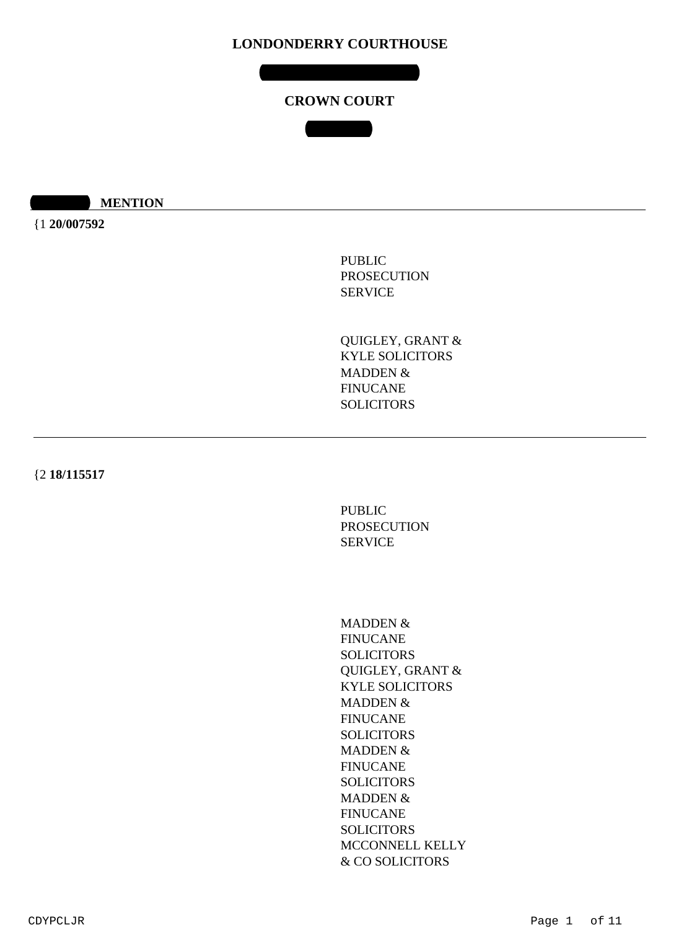**MONDAY 20 JULY 2020**

# **CROWN COURT**

**COURT 4**

**10:30 MENTION** 

{1 **20/007592**

PUBLIC PROSECUTION SERVICE

QUIGLEY, GRANT & KYLE SOLICITORS MADDEN & FINUCANE **SOLICITORS** 

{2 **18/115517**

PUBLIC PROSECUTION SERVICE

MADDEN & FINUCANE SOLICITORS QUIGLEY, GRANT & KYLE SOLICITORS MADDEN & FINUCANE SOLICITORS MADDEN & FINUCANE **SOLICITORS** MADDEN & FINUCANE **SOLICITORS** MCCONNELL KELLY & CO SOLICITORS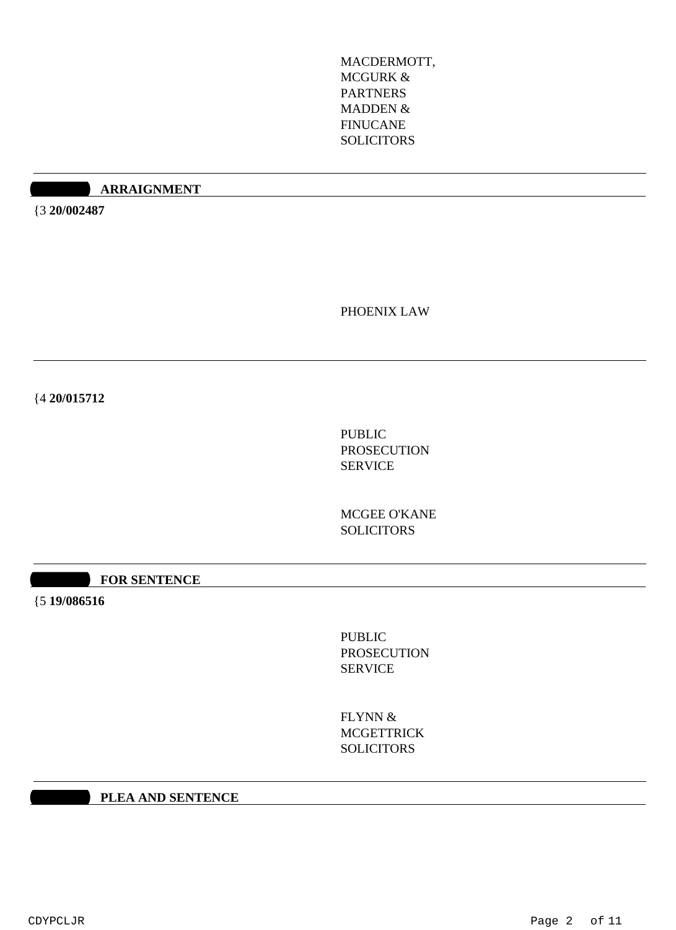MACDERMOTT, MCGURK & PARTNERS MADDEN & FINUCANE SOLICITORS

#### **10:40 ARRAIGNMENT**

{3 **20/002487**

PHOENIX LAW

{4 **20/015712**

PUBLIC PROSECUTION SERVICE

MCGEE O'KANE **SOLICITORS** 

**10:30 FOR SENTENCE** 

{5 **19/086516**

PUBLIC PROSECUTION SERVICE

FLYNN & **MCGETTRICK SOLICITORS** 

**10:30 PLEA AND SENTENCE**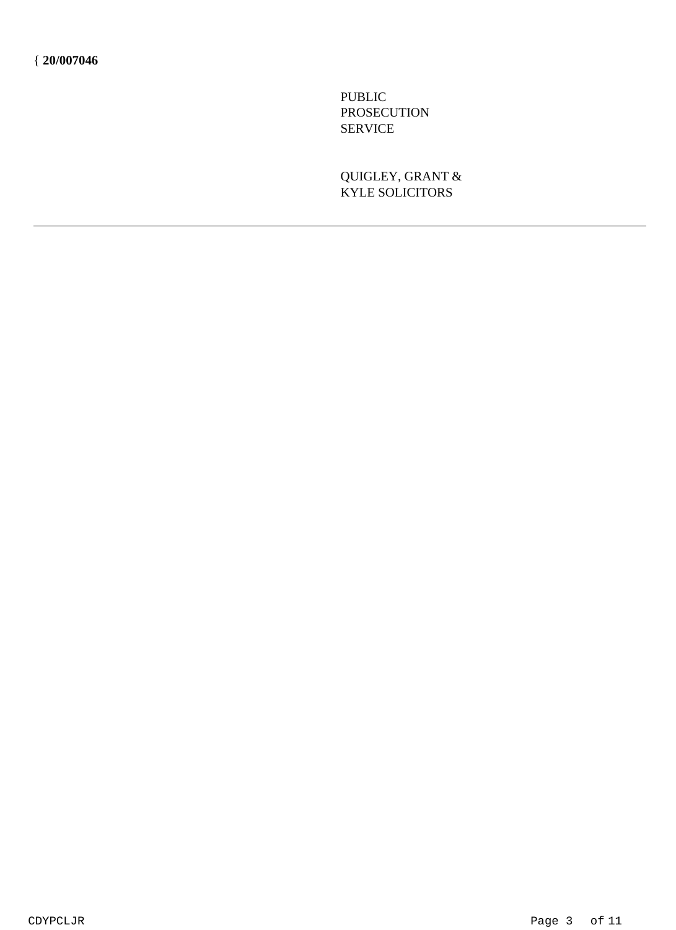PUBLIC PROSECUTION SERVICE

QUIGLEY, GRANT & KYLE SOLICITORS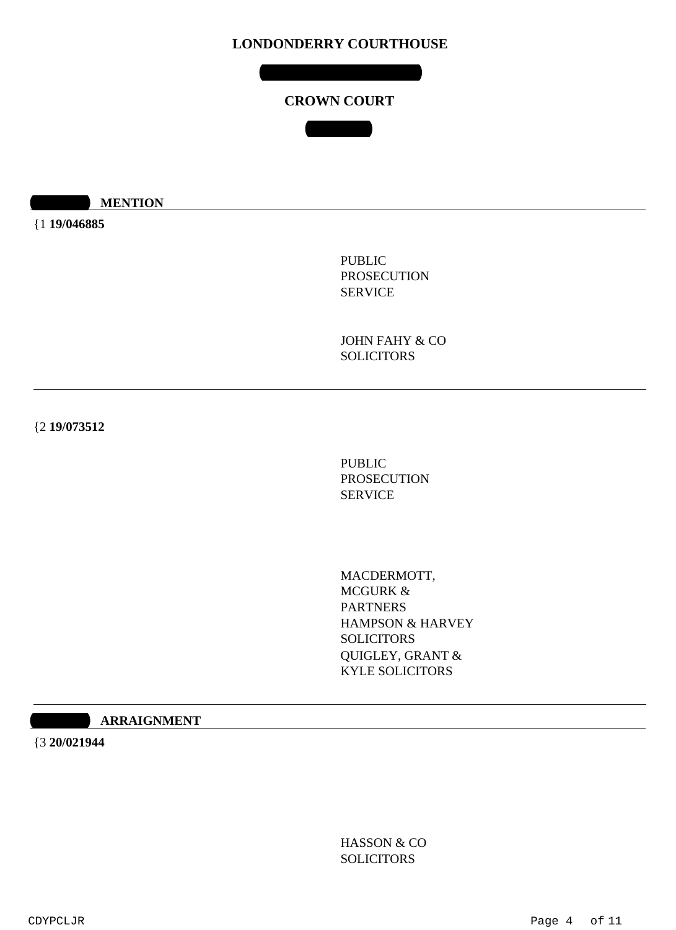**TUESDAY 21 JULY 2020**

# **CROWN COURT**

**COURT 4**

**10:30 MENTION** 

{1 **19/046885**

PUBLIC PROSECUTION SERVICE

JOHN FAHY & CO **SOLICITORS** 

{2 **19/073512**

PUBLIC PROSECUTION SERVICE

MACDERMOTT, MCGURK & PARTNERS HAMPSON & HARVEY **SOLICITORS** QUIGLEY, GRANT & KYLE SOLICITORS

#### $10$ **ARRAIGNMENT**

{3 **20/021944**

HASSON & CO **SOLICITORS**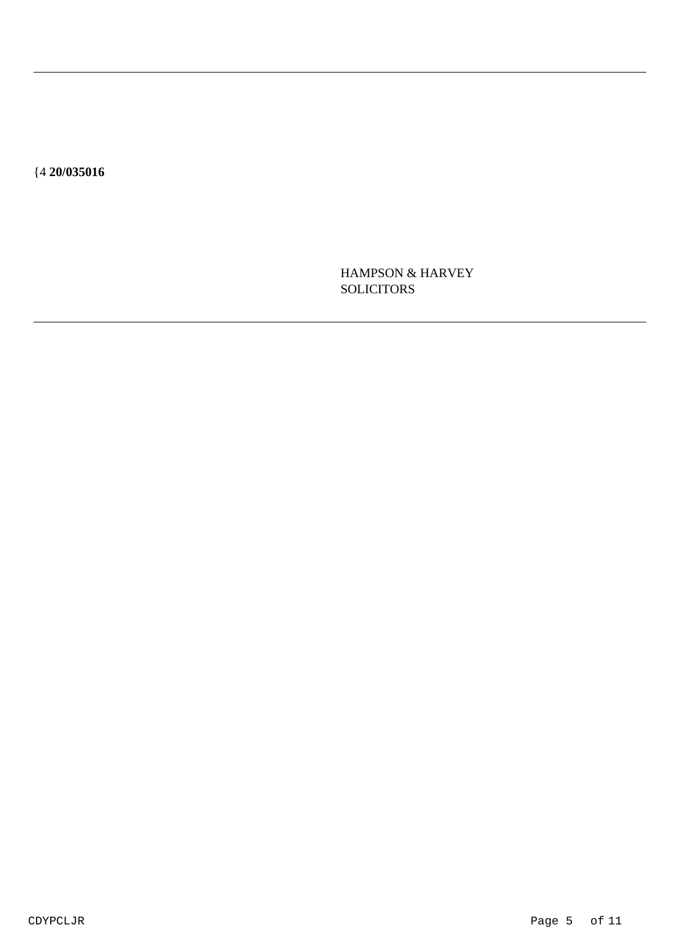${420/035016}$ 

HAMPSON & HARVEY **SOLICITORS**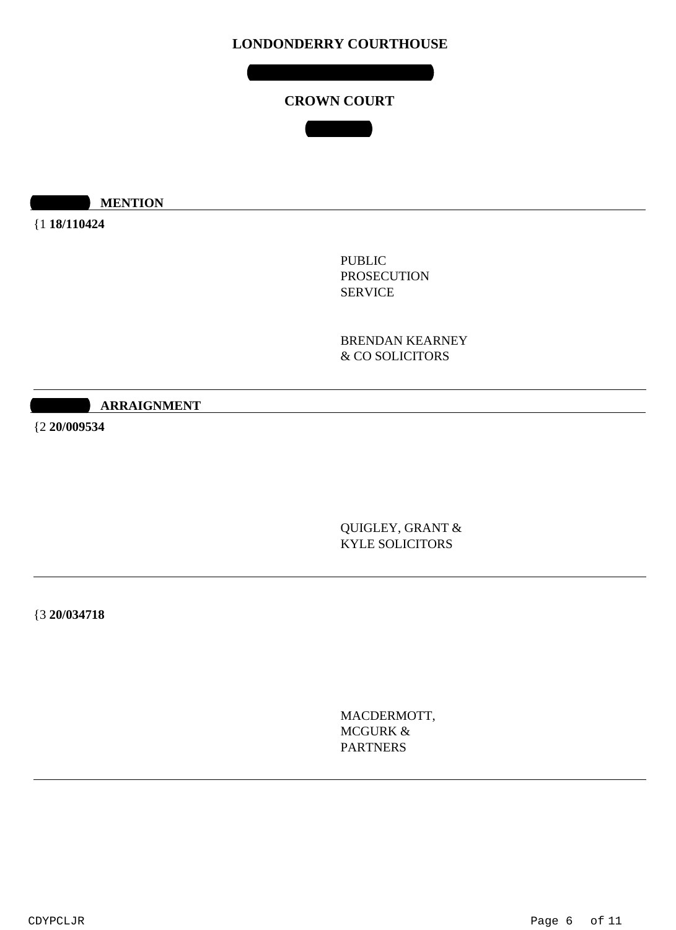**WEDNESDAY 22 JULY 2020**

# **CROWN COURT**

**COURT 4**

**10:30 MENTION** 

{1 **18/110424**

PUBLIC PROSECUTION SERVICE

BRENDAN KEARNEY & CO SOLICITORS

 $10$ **ARRAIGNMENT** 

{2 **20/009534**

QUIGLEY, GRANT & KYLE SOLICITORS

{3 **20/034718**

MACDERMOTT, MCGURK & PARTNERS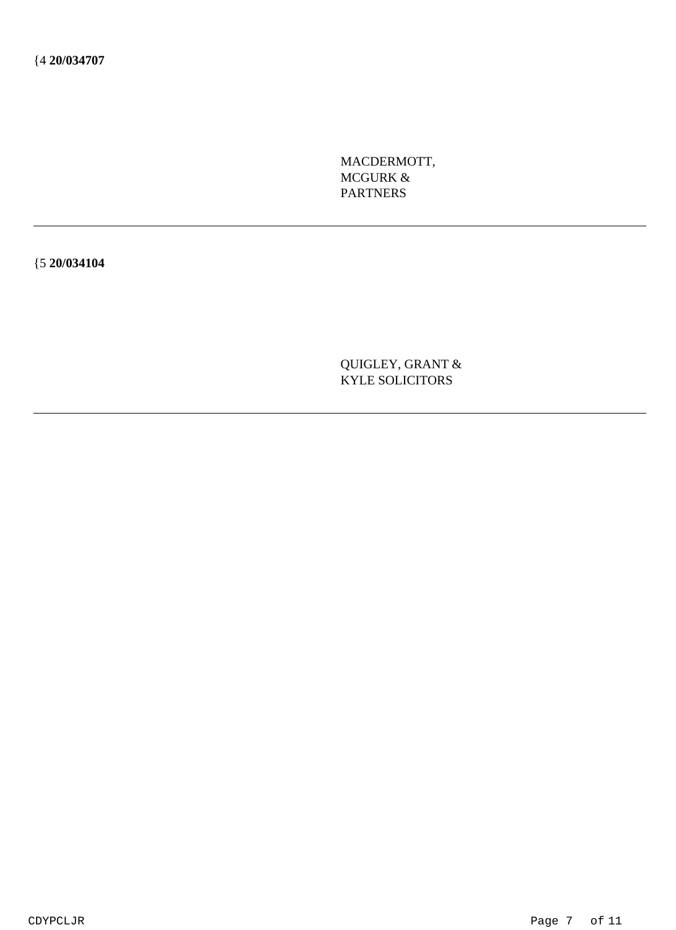MACDERMOTT, MCGURK & PARTNERS

{5 **20/034104**

QUIGLEY, GRANT & KYLE SOLICITORS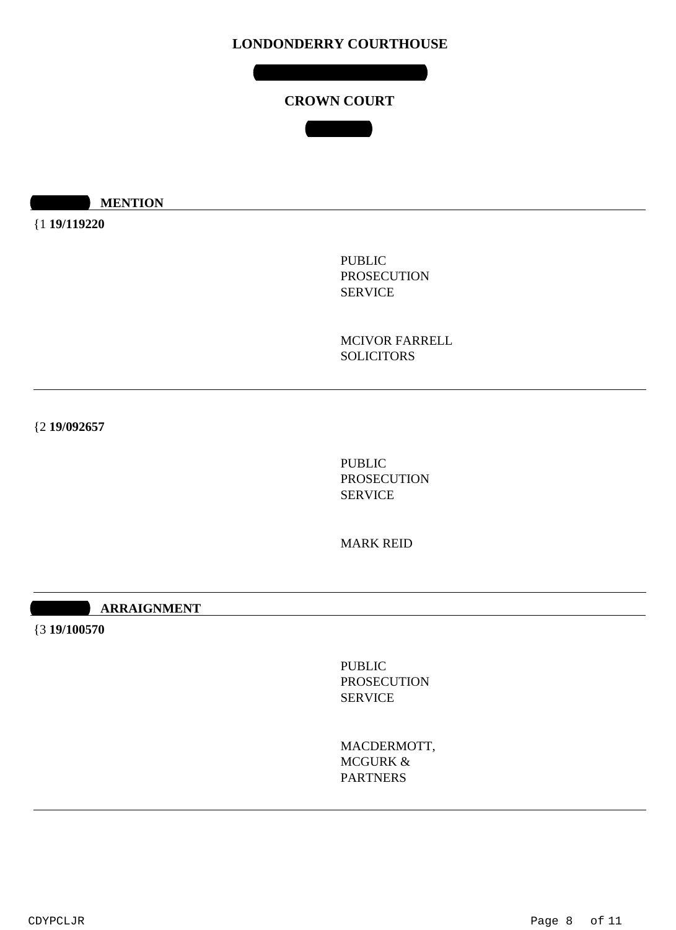**THURSDAY 23 JULY 2020**

# **CROWN COURT**

**COURT 4**

**10:30 MENTION** 

{1 **19/119220**

PUBLIC PROSECUTION SERVICE

MCIVOR FARRELL **SOLICITORS** 

{2 **19/092657**

PUBLIC PROSECUTION SERVICE

MARK REID

**10:40 ARRAIGNMENT** 

{3 **19/100570**

PUBLIC PROSECUTION SERVICE

MACDERMOTT, MCGURK & PARTNERS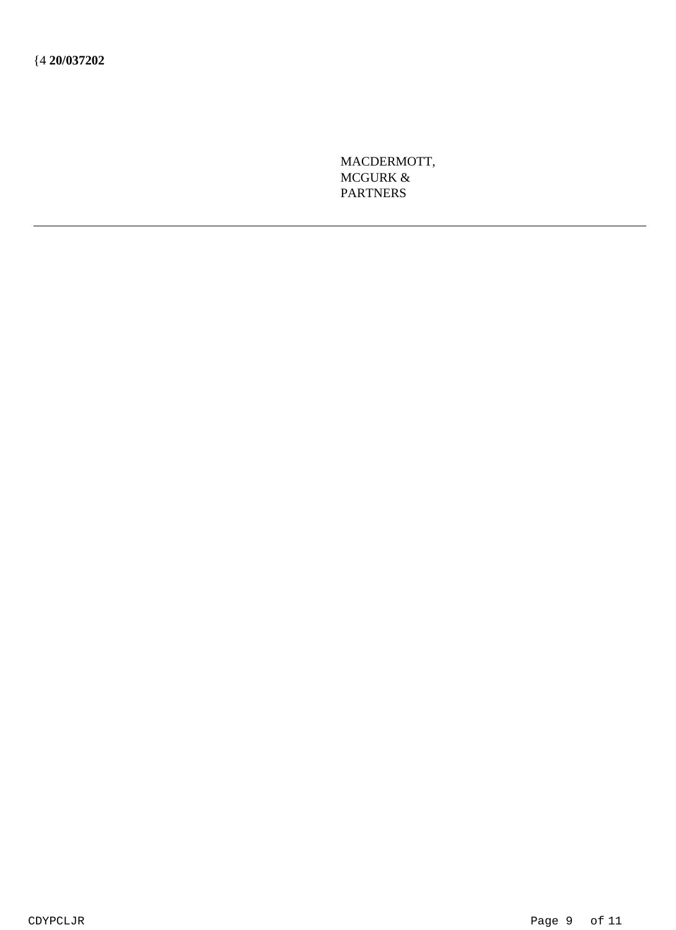MACDERMOTT, MCGURK & **PARTNERS**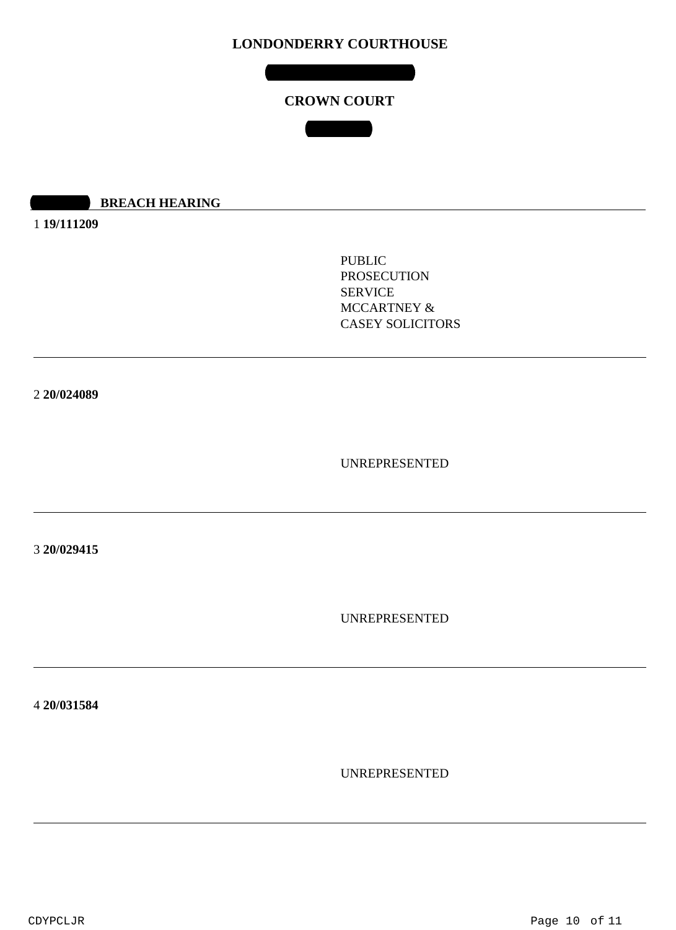**CROWN COURT**

**COURT 4**

#### **10:30 AM BREACH HEARING**

1 **19/111209**

PUBLIC PROSECUTION SERVICE MCCARTNEY & CASEY SOLICITORS

2 **20/024089**

UNREPRESENTED

3 **20/029415**

UNREPRESENTED

4 **20/031584**

UNREPRESENTED